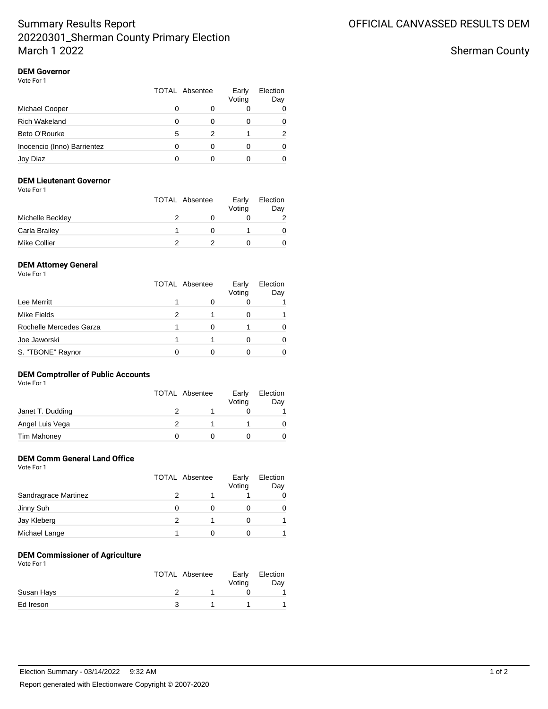# Summary Results Report 20220301\_Sherman County Primary Election March 1 2022

Sherman County

#### **DEM Governor** Vote For 1

| 1 U U U U U                 | <b>TOTAL Absentee</b> |   | Early<br>Voting | Election<br>Day |
|-----------------------------|-----------------------|---|-----------------|-----------------|
| Michael Cooper              | 0                     |   |                 |                 |
| <b>Rich Wakeland</b>        |                       |   |                 |                 |
| Beto O'Rourke               | 5                     | 2 |                 | 2               |
| Inocencio (Inno) Barrientez | Ω                     |   |                 |                 |
| Joy Diaz                    |                       |   |                 |                 |

### **DEM Lieutenant Governor**

| Vote For 1 |  |
|------------|--|
|------------|--|

|                     | <b>TOTAL Absentee</b> |  | Election<br>Day |
|---------------------|-----------------------|--|-----------------|
| Michelle Beckley    |                       |  |                 |
| Carla Brailey       |                       |  |                 |
| <b>Mike Collier</b> |                       |  |                 |

### **DEM Attorney General**

Vote For 1

|                         |   | <b>TOTAL Absentee</b> | Early<br>Voting | Election<br>Day |
|-------------------------|---|-----------------------|-----------------|-----------------|
| Lee Merritt             |   |                       |                 |                 |
| Mike Fields             | 2 |                       |                 |                 |
| Rochelle Mercedes Garza |   |                       |                 |                 |
| Joe Jaworski            |   |                       |                 |                 |
| S. "TBONE" Raynor       |   |                       |                 |                 |

## **DEM Comptroller of Public Accounts**

|                  | <b>TOTAL Absentee</b> |  | Early<br>Voting | Election<br>Day |
|------------------|-----------------------|--|-----------------|-----------------|
| Janet T. Dudding |                       |  |                 |                 |
| Angel Luis Vega  |                       |  |                 |                 |
| Tim Mahoney      |                       |  |                 |                 |

# **DEM Comm General Land Office**

| Vote For 1 |  |  |
|------------|--|--|
|            |  |  |

|                      | TOTAL Absentee | Early<br>Voting | Election<br>Day |
|----------------------|----------------|-----------------|-----------------|
| Sandragrace Martinez |                |                 |                 |
| Jinny Suh            |                |                 |                 |
| Jay Kleberg          |                |                 |                 |
| Michael Lange        |                |                 |                 |

### **DEM Commissioner of Agriculture**

| Vote For 1 |  |
|------------|--|
|------------|--|

|            | <b>TOTAL Absentee</b> | Early<br>Voting | Election<br>Day |
|------------|-----------------------|-----------------|-----------------|
| Susan Hays |                       |                 |                 |
| Ed Ireson  |                       |                 |                 |